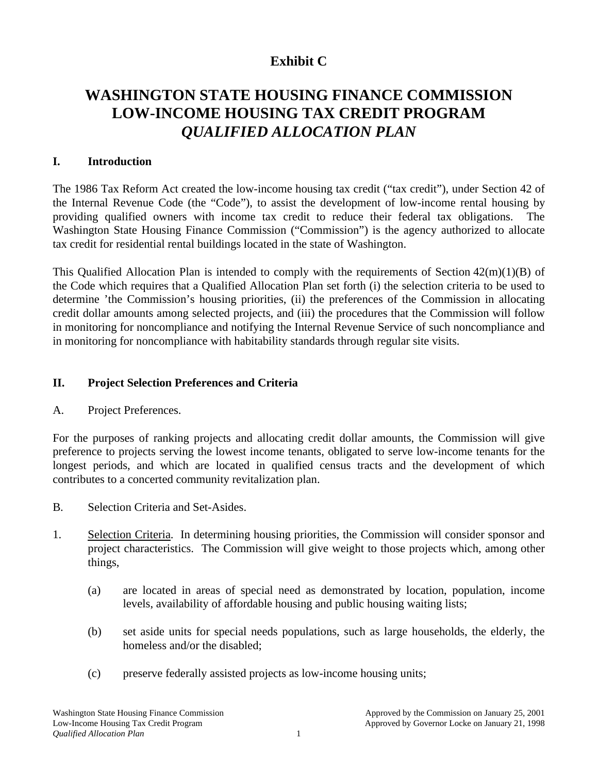# **Exhibit C**

# **WASHINGTON STATE HOUSING FINANCE COMMISSION LOW-INCOME HOUSING TAX CREDIT PROGRAM** *QUALIFIED ALLOCATION PLAN*

#### **I. Introduction**

The 1986 Tax Reform Act created the low-income housing tax credit ("tax credit"), under Section 42 of the Internal Revenue Code (the "Code"), to assist the development of low-income rental housing by providing qualified owners with income tax credit to reduce their federal tax obligations. The Washington State Housing Finance Commission ("Commission") is the agency authorized to allocate tax credit for residential rental buildings located in the state of Washington.

This Qualified Allocation Plan is intended to comply with the requirements of Section 42(m)(1)(B) of the Code which requires that a Qualified Allocation Plan set forth (i) the selection criteria to be used to determine 'the Commission's housing priorities, (ii) the preferences of the Commission in allocating credit dollar amounts among selected projects, and (iii) the procedures that the Commission will follow in monitoring for noncompliance and notifying the Internal Revenue Service of such noncompliance and in monitoring for noncompliance with habitability standards through regular site visits.

#### **II. Project Selection Preferences and Criteria**

A. Project Preferences.

For the purposes of ranking projects and allocating credit dollar amounts, the Commission will give preference to projects serving the lowest income tenants, obligated to serve low-income tenants for the longest periods, and which are located in qualified census tracts and the development of which contributes to a concerted community revitalization plan.

- B. Selection Criteria and Set-Asides.
- 1. Selection Criteria. In determining housing priorities, the Commission will consider sponsor and project characteristics. The Commission will give weight to those projects which, among other things,
	- (a) are located in areas of special need as demonstrated by location, population, income levels, availability of affordable housing and public housing waiting lists;
	- (b) set aside units for special needs populations, such as large households, the elderly, the homeless and/or the disabled;
	- (c) preserve federally assisted projects as low-income housing units;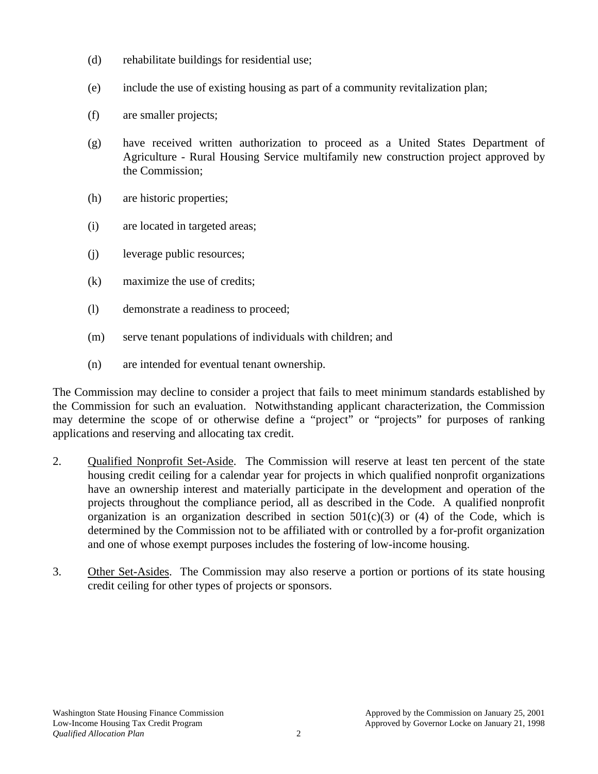- (d) rehabilitate buildings for residential use;
- (e) include the use of existing housing as part of a community revitalization plan;
- (f) are smaller projects;
- (g) have received written authorization to proceed as a United States Department of Agriculture - Rural Housing Service multifamily new construction project approved by the Commission;
- (h) are historic properties;
- (i) are located in targeted areas;
- (j) leverage public resources;
- (k) maximize the use of credits;
- (l) demonstrate a readiness to proceed;
- (m) serve tenant populations of individuals with children; and
- (n) are intended for eventual tenant ownership.

The Commission may decline to consider a project that fails to meet minimum standards established by the Commission for such an evaluation. Notwithstanding applicant characterization, the Commission may determine the scope of or otherwise define a "project" or "projects" for purposes of ranking applications and reserving and allocating tax credit.

- 2. Qualified Nonprofit Set-Aside. The Commission will reserve at least ten percent of the state housing credit ceiling for a calendar year for projects in which qualified nonprofit organizations have an ownership interest and materially participate in the development and operation of the projects throughout the compliance period, all as described in the Code. A qualified nonprofit organization is an organization described in section  $501(c)(3)$  or (4) of the Code, which is determined by the Commission not to be affiliated with or controlled by a for-profit organization and one of whose exempt purposes includes the fostering of low-income housing.
- 3. Other Set-Asides. The Commission may also reserve a portion or portions of its state housing credit ceiling for other types of projects or sponsors.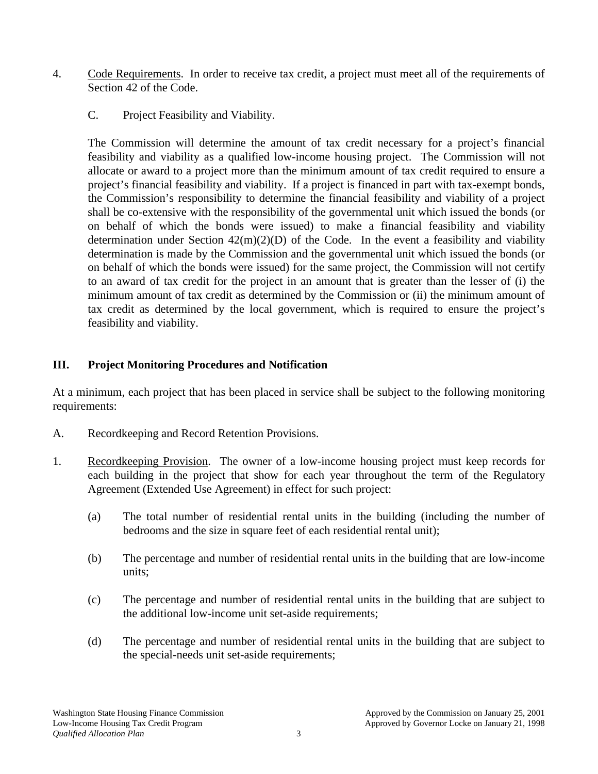- 4. Code Requirements. In order to receive tax credit, a project must meet all of the requirements of Section 42 of the Code.
	- C. Project Feasibility and Viability.

The Commission will determine the amount of tax credit necessary for a project's financial feasibility and viability as a qualified low-income housing project. The Commission will not allocate or award to a project more than the minimum amount of tax credit required to ensure a project's financial feasibility and viability. If a project is financed in part with tax-exempt bonds, the Commission's responsibility to determine the financial feasibility and viability of a project shall be co-extensive with the responsibility of the governmental unit which issued the bonds (or on behalf of which the bonds were issued) to make a financial feasibility and viability determination under Section  $42(m)(2)(D)$  of the Code. In the event a feasibility and viability determination is made by the Commission and the governmental unit which issued the bonds (or on behalf of which the bonds were issued) for the same project, the Commission will not certify to an award of tax credit for the project in an amount that is greater than the lesser of (i) the minimum amount of tax credit as determined by the Commission or (ii) the minimum amount of tax credit as determined by the local government, which is required to ensure the project's feasibility and viability.

### **III. Project Monitoring Procedures and Notification**

At a minimum, each project that has been placed in service shall be subject to the following monitoring requirements:

- A. Recordkeeping and Record Retention Provisions.
- 1. Recordkeeping Provision. The owner of a low-income housing project must keep records for each building in the project that show for each year throughout the term of the Regulatory Agreement (Extended Use Agreement) in effect for such project:
	- (a) The total number of residential rental units in the building (including the number of bedrooms and the size in square feet of each residential rental unit);
	- (b) The percentage and number of residential rental units in the building that are low-income units;
	- (c) The percentage and number of residential rental units in the building that are subject to the additional low-income unit set-aside requirements;
	- (d) The percentage and number of residential rental units in the building that are subject to the special-needs unit set-aside requirements;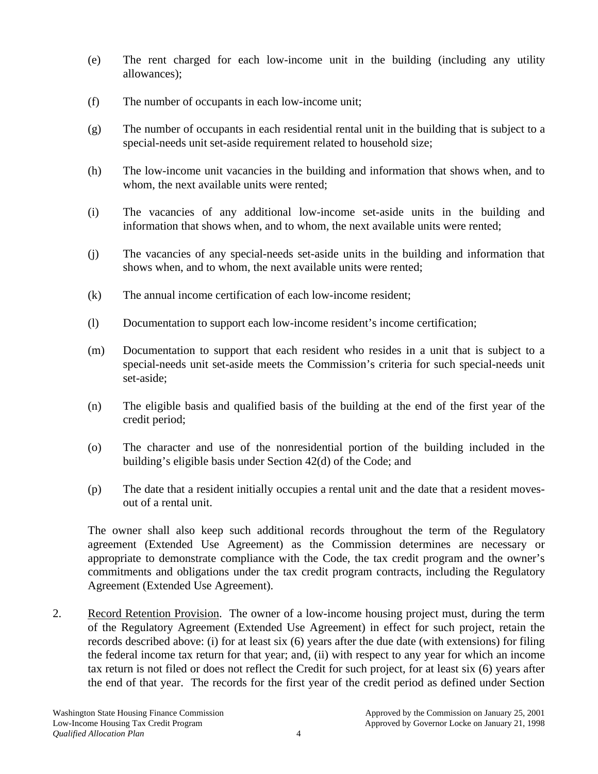- (e) The rent charged for each low-income unit in the building (including any utility allowances);
- (f) The number of occupants in each low-income unit;
- (g) The number of occupants in each residential rental unit in the building that is subject to a special-needs unit set-aside requirement related to household size;
- (h) The low-income unit vacancies in the building and information that shows when, and to whom, the next available units were rented;
- (i) The vacancies of any additional low-income set-aside units in the building and information that shows when, and to whom, the next available units were rented;
- (j) The vacancies of any special-needs set-aside units in the building and information that shows when, and to whom, the next available units were rented;
- (k) The annual income certification of each low-income resident;
- (l) Documentation to support each low-income resident's income certification;
- (m) Documentation to support that each resident who resides in a unit that is subject to a special-needs unit set-aside meets the Commission's criteria for such special-needs unit set-aside;
- (n) The eligible basis and qualified basis of the building at the end of the first year of the credit period;
- (o) The character and use of the nonresidential portion of the building included in the building's eligible basis under Section 42(d) of the Code; and
- (p) The date that a resident initially occupies a rental unit and the date that a resident movesout of a rental unit.

The owner shall also keep such additional records throughout the term of the Regulatory agreement (Extended Use Agreement) as the Commission determines are necessary or appropriate to demonstrate compliance with the Code, the tax credit program and the owner's commitments and obligations under the tax credit program contracts, including the Regulatory Agreement (Extended Use Agreement).

2. Record Retention Provision. The owner of a low-income housing project must, during the term of the Regulatory Agreement (Extended Use Agreement) in effect for such project, retain the records described above: (i) for at least six (6) years after the due date (with extensions) for filing the federal income tax return for that year; and, (ii) with respect to any year for which an income tax return is not filed or does not reflect the Credit for such project, for at least six (6) years after the end of that year. The records for the first year of the credit period as defined under Section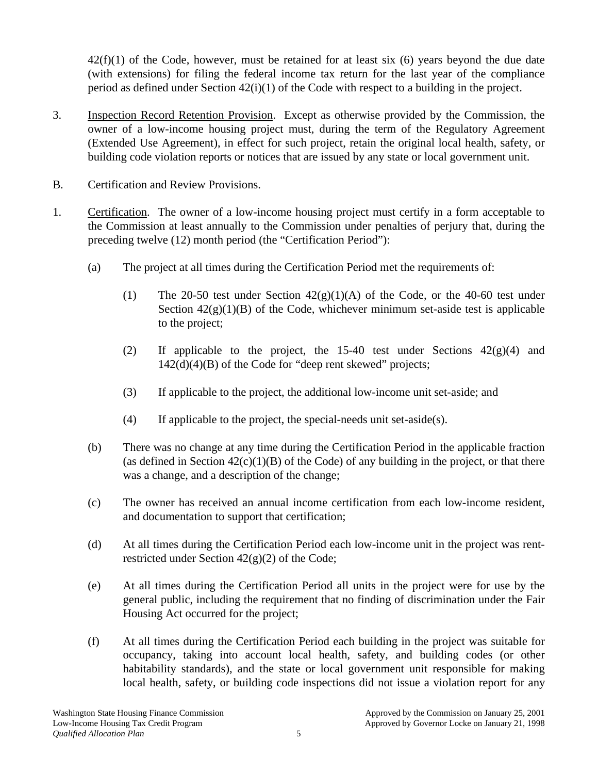$42(f)(1)$  of the Code, however, must be retained for at least six (6) years beyond the due date (with extensions) for filing the federal income tax return for the last year of the compliance period as defined under Section 42(i)(1) of the Code with respect to a building in the project.

- 3. Inspection Record Retention Provision. Except as otherwise provided by the Commission, the owner of a low-income housing project must, during the term of the Regulatory Agreement (Extended Use Agreement), in effect for such project, retain the original local health, safety, or building code violation reports or notices that are issued by any state or local government unit.
- B. Certification and Review Provisions.
- 1. Certification. The owner of a low-income housing project must certify in a form acceptable to the Commission at least annually to the Commission under penalties of perjury that, during the preceding twelve (12) month period (the "Certification Period"):
	- (a) The project at all times during the Certification Period met the requirements of:
		- (1) The 20-50 test under Section  $42(g)(1)(A)$  of the Code, or the 40-60 test under Section  $42(g)(1)(B)$  of the Code, whichever minimum set-aside test is applicable to the project;
		- (2) If applicable to the project, the 15-40 test under Sections  $42(g)(4)$  and 142(d)(4)(B) of the Code for "deep rent skewed" projects;
		- (3) If applicable to the project, the additional low-income unit set-aside; and
		- (4) If applicable to the project, the special-needs unit set-aside(s).
	- (b) There was no change at any time during the Certification Period in the applicable fraction (as defined in Section  $42(c)(1)(B)$  of the Code) of any building in the project, or that there was a change, and a description of the change;
	- (c) The owner has received an annual income certification from each low-income resident, and documentation to support that certification;
	- (d) At all times during the Certification Period each low-income unit in the project was rentrestricted under Section 42(g)(2) of the Code;
	- (e) At all times during the Certification Period all units in the project were for use by the general public, including the requirement that no finding of discrimination under the Fair Housing Act occurred for the project;
	- (f) At all times during the Certification Period each building in the project was suitable for occupancy, taking into account local health, safety, and building codes (or other habitability standards), and the state or local government unit responsible for making local health, safety, or building code inspections did not issue a violation report for any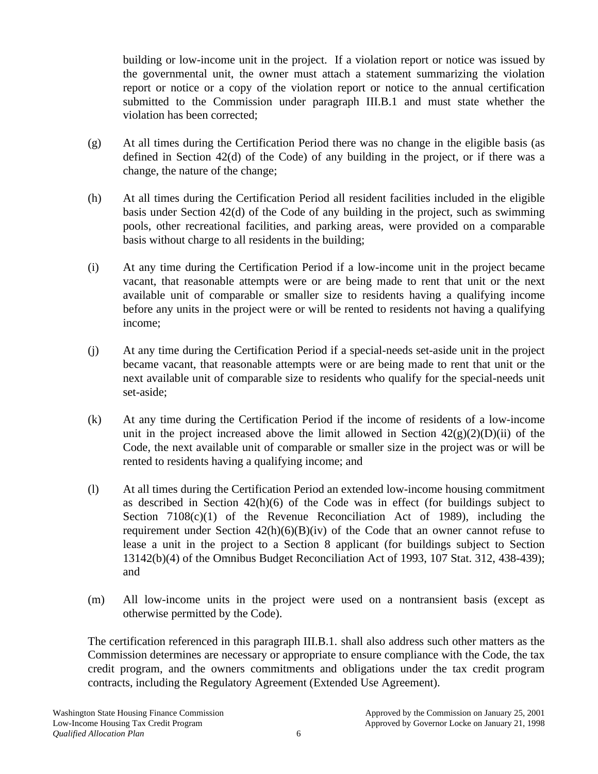building or low-income unit in the project. If a violation report or notice was issued by the governmental unit, the owner must attach a statement summarizing the violation report or notice or a copy of the violation report or notice to the annual certification submitted to the Commission under paragraph III.B.1 and must state whether the violation has been corrected;

- (g) At all times during the Certification Period there was no change in the eligible basis (as defined in Section 42(d) of the Code) of any building in the project, or if there was a change, the nature of the change;
- (h) At all times during the Certification Period all resident facilities included in the eligible basis under Section 42(d) of the Code of any building in the project, such as swimming pools, other recreational facilities, and parking areas, were provided on a comparable basis without charge to all residents in the building;
- (i) At any time during the Certification Period if a low-income unit in the project became vacant, that reasonable attempts were or are being made to rent that unit or the next available unit of comparable or smaller size to residents having a qualifying income before any units in the project were or will be rented to residents not having a qualifying income;
- (j) At any time during the Certification Period if a special-needs set-aside unit in the project became vacant, that reasonable attempts were or are being made to rent that unit or the next available unit of comparable size to residents who qualify for the special-needs unit set-aside;
- (k) At any time during the Certification Period if the income of residents of a low-income unit in the project increased above the limit allowed in Section  $42(g)(2)(D)(ii)$  of the Code, the next available unit of comparable or smaller size in the project was or will be rented to residents having a qualifying income; and
- (l) At all times during the Certification Period an extended low-income housing commitment as described in Section  $42(h)(6)$  of the Code was in effect (for buildings subject to Section  $7108(c)(1)$  of the Revenue Reconciliation Act of 1989), including the requirement under Section  $42(h)(6)(B)(iv)$  of the Code that an owner cannot refuse to lease a unit in the project to a Section 8 applicant (for buildings subject to Section 13142(b)(4) of the Omnibus Budget Reconciliation Act of 1993, 107 Stat. 312, 438-439); and
- (m) All low-income units in the project were used on a nontransient basis (except as otherwise permitted by the Code).

The certification referenced in this paragraph III.B.1. shall also address such other matters as the Commission determines are necessary or appropriate to ensure compliance with the Code, the tax credit program, and the owners commitments and obligations under the tax credit program contracts, including the Regulatory Agreement (Extended Use Agreement).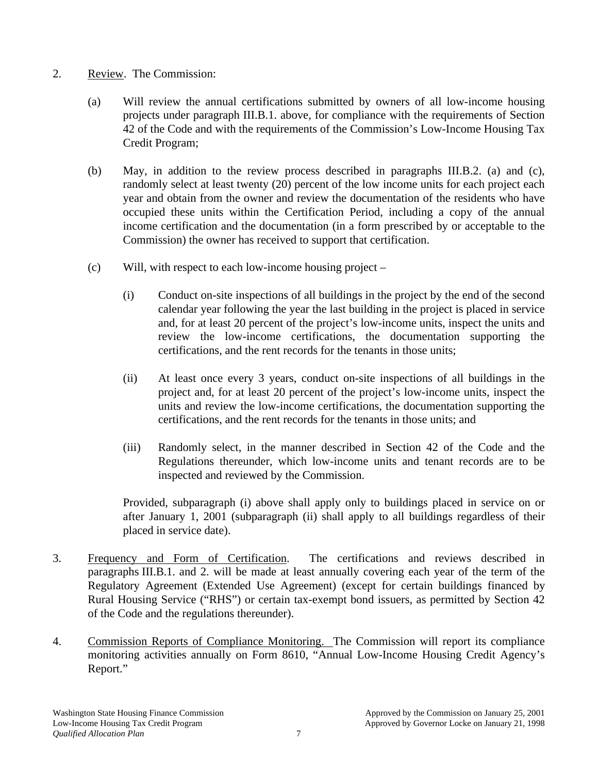#### 2. Review. The Commission:

- (a) Will review the annual certifications submitted by owners of all low-income housing projects under paragraph III.B.1. above, for compliance with the requirements of Section 42 of the Code and with the requirements of the Commission's Low-Income Housing Tax Credit Program;
- (b) May, in addition to the review process described in paragraphs III.B.2. (a) and (c), randomly select at least twenty (20) percent of the low income units for each project each year and obtain from the owner and review the documentation of the residents who have occupied these units within the Certification Period, including a copy of the annual income certification and the documentation (in a form prescribed by or acceptable to the Commission) the owner has received to support that certification.
- (c) Will, with respect to each low-income housing project
	- (i) Conduct on-site inspections of all buildings in the project by the end of the second calendar year following the year the last building in the project is placed in service and, for at least 20 percent of the project's low-income units, inspect the units and review the low-income certifications, the documentation supporting the certifications, and the rent records for the tenants in those units;
	- (ii) At least once every 3 years, conduct on-site inspections of all buildings in the project and, for at least 20 percent of the project's low-income units, inspect the units and review the low-income certifications, the documentation supporting the certifications, and the rent records for the tenants in those units; and
	- (iii) Randomly select, in the manner described in Section 42 of the Code and the Regulations thereunder, which low-income units and tenant records are to be inspected and reviewed by the Commission.

Provided, subparagraph (i) above shall apply only to buildings placed in service on or after January 1, 2001 (subparagraph (ii) shall apply to all buildings regardless of their placed in service date).

- 3. Frequency and Form of Certification. The certifications and reviews described in paragraphs III.B.1. and 2. will be made at least annually covering each year of the term of the Regulatory Agreement (Extended Use Agreement) (except for certain buildings financed by Rural Housing Service ("RHS") or certain tax-exempt bond issuers, as permitted by Section 42 of the Code and the regulations thereunder).
- 4. Commission Reports of Compliance Monitoring. The Commission will report its compliance monitoring activities annually on Form 8610, "Annual Low-Income Housing Credit Agency's Report."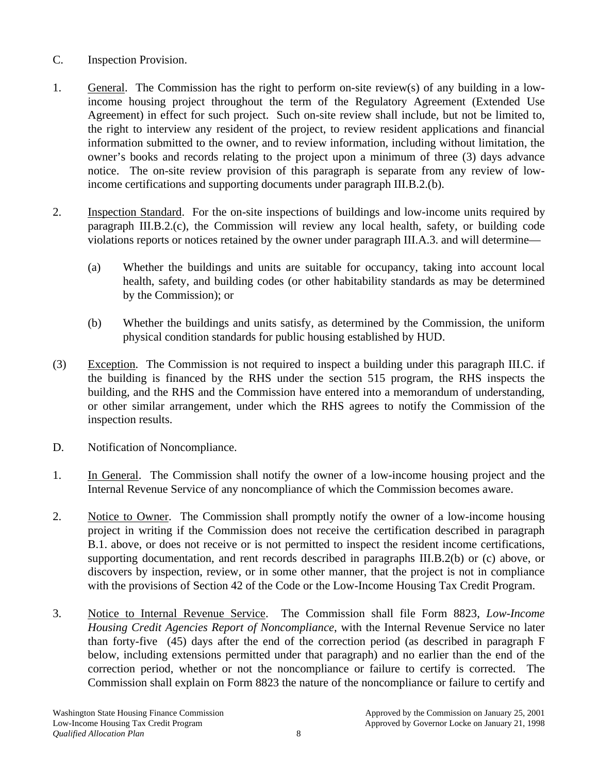## C. Inspection Provision.

- 1. General. The Commission has the right to perform on-site review(s) of any building in a lowincome housing project throughout the term of the Regulatory Agreement (Extended Use Agreement) in effect for such project. Such on-site review shall include, but not be limited to, the right to interview any resident of the project, to review resident applications and financial information submitted to the owner, and to review information, including without limitation, the owner's books and records relating to the project upon a minimum of three (3) days advance notice. The on-site review provision of this paragraph is separate from any review of lowincome certifications and supporting documents under paragraph III.B.2.(b).
- 2. Inspection Standard. For the on-site inspections of buildings and low-income units required by paragraph III.B.2.(c), the Commission will review any local health, safety, or building code violations reports or notices retained by the owner under paragraph III.A.3. and will determine—
	- (a) Whether the buildings and units are suitable for occupancy, taking into account local health, safety, and building codes (or other habitability standards as may be determined by the Commission); or
	- (b) Whether the buildings and units satisfy, as determined by the Commission, the uniform physical condition standards for public housing established by HUD.
- (3) Exception. The Commission is not required to inspect a building under this paragraph III.C. if the building is financed by the RHS under the section 515 program, the RHS inspects the building, and the RHS and the Commission have entered into a memorandum of understanding, or other similar arrangement, under which the RHS agrees to notify the Commission of the inspection results.
- D. Notification of Noncompliance.
- 1. In General. The Commission shall notify the owner of a low-income housing project and the Internal Revenue Service of any noncompliance of which the Commission becomes aware.
- 2. Notice to Owner. The Commission shall promptly notify the owner of a low-income housing project in writing if the Commission does not receive the certification described in paragraph B.1. above, or does not receive or is not permitted to inspect the resident income certifications, supporting documentation, and rent records described in paragraphs III.B.2(b) or (c) above, or discovers by inspection, review, or in some other manner, that the project is not in compliance with the provisions of Section 42 of the Code or the Low-Income Housing Tax Credit Program.
- 3. Notice to Internal Revenue Service. The Commission shall file Form 8823, *Low-Income Housing Credit Agencies Report of Noncompliance*, with the Internal Revenue Service no later than forty-five (45) days after the end of the correction period (as described in paragraph F below, including extensions permitted under that paragraph) and no earlier than the end of the correction period, whether or not the noncompliance or failure to certify is corrected. The Commission shall explain on Form 8823 the nature of the noncompliance or failure to certify and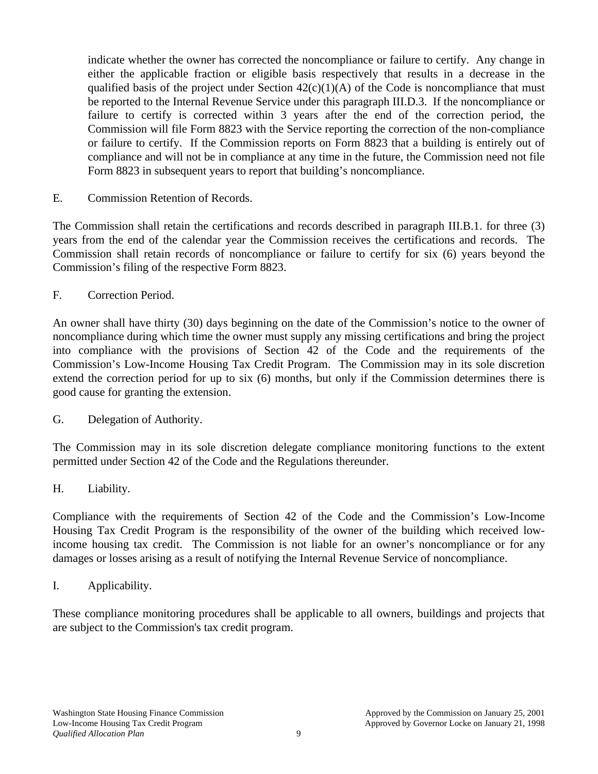indicate whether the owner has corrected the noncompliance or failure to certify. Any change in either the applicable fraction or eligible basis respectively that results in a decrease in the qualified basis of the project under Section  $42(c)(1)(A)$  of the Code is noncompliance that must be reported to the Internal Revenue Service under this paragraph III.D.3. If the noncompliance or failure to certify is corrected within 3 years after the end of the correction period, the Commission will file Form 8823 with the Service reporting the correction of the non-compliance or failure to certify. If the Commission reports on Form 8823 that a building is entirely out of compliance and will not be in compliance at any time in the future, the Commission need not file Form 8823 in subsequent years to report that building's noncompliance.

E. Commission Retention of Records.

The Commission shall retain the certifications and records described in paragraph III.B.1. for three (3) years from the end of the calendar year the Commission receives the certifications and records. The Commission shall retain records of noncompliance or failure to certify for six (6) years beyond the Commission's filing of the respective Form 8823.

F. Correction Period.

An owner shall have thirty (30) days beginning on the date of the Commission's notice to the owner of noncompliance during which time the owner must supply any missing certifications and bring the project into compliance with the provisions of Section 42 of the Code and the requirements of the Commission's Low-Income Housing Tax Credit Program. The Commission may in its sole discretion extend the correction period for up to six (6) months, but only if the Commission determines there is good cause for granting the extension.

G. Delegation of Authority.

The Commission may in its sole discretion delegate compliance monitoring functions to the extent permitted under Section 42 of the Code and the Regulations thereunder.

H. Liability.

Compliance with the requirements of Section 42 of the Code and the Commission's Low-Income Housing Tax Credit Program is the responsibility of the owner of the building which received lowincome housing tax credit. The Commission is not liable for an owner's noncompliance or for any damages or losses arising as a result of notifying the Internal Revenue Service of noncompliance.

I. Applicability.

These compliance monitoring procedures shall be applicable to all owners, buildings and projects that are subject to the Commission's tax credit program.